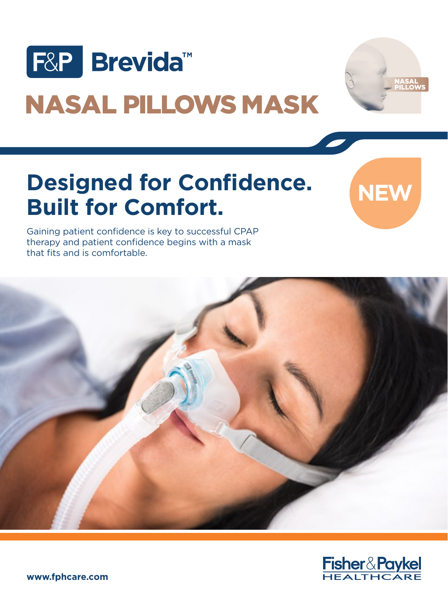



# NASAL PILLOWS MASK

## **Designed for Confidence. Built for Comfort.**

**NEW**

Gaining patient confidence is key to successful CPAP therapy and patient confidence begins with a mask that fits and is comfortable.



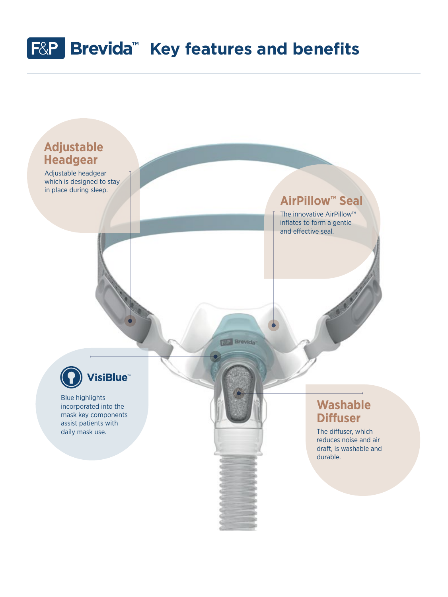## **F&P** Brevida<sup>™</sup> Key features and benefits

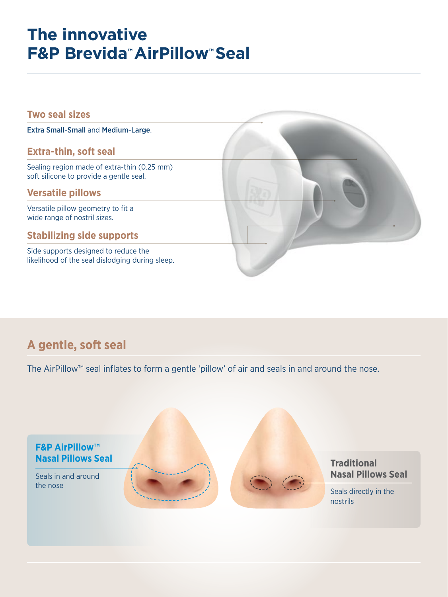## **The innovative F&P Brevida™ AirPillow™ Seal**



### **A gentle, soft seal**

The AirPillow™ seal inflates to form a gentle 'pillow' of air and seals in and around the nose.